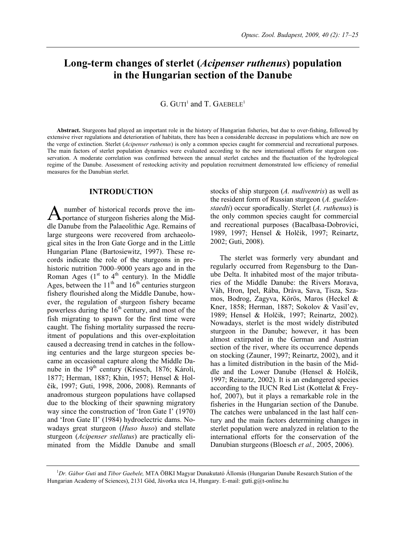# **Long-term changes of sterlet (***Acipenser ruthenus***) population in the Hungarian section of the Danube**

# $G.$  GUTI<sup>1</sup> and T. GAEBELE<sup>1</sup>

**Abstract.** Sturgeons had played an important role in the history of Hungarian fisheries, but due to over-fishing, followed by extensive river regulations and deterioration of habitats, there has been a considerable decrease in populations which are now on the verge of extinction. Sterlet (*Acipenser ruthenus*) is only a common species caught for commercial and recreational purposes. The main factors of sterlet population dynamics were evaluated according to the new international efforts for sturgeon conservation. A moderate correlation was confirmed between the annual sterlet catches and the fluctuation of the hydrological regime of the Danube. Assessment of restocking activity and population recruitment demonstrated low efficiency of remedial measures for the Danubian sterlet.

#### **INTRODUCTION**

 number of historical records prove the im-A number of historical records prove the im-<br>portance of sturgeon fisheries along the Middle Danube from the Palaeolithic Age. Remains of large sturgeons were recovered from archaeological sites in the Iron Gate Gorge and in the Little Hungarian Plane (Bartosiewitz, 1997). These records indicate the role of the sturgeons in prehistoric nutrition 7000–9000 years ago and in the Roman Ages ( $1<sup>st</sup>$  to  $4<sup>th</sup>$  century). In the Middle Ages, between the  $11<sup>th</sup>$  and  $16<sup>th</sup>$  centuries sturgeon fishery flourished along the Middle Danube, however, the regulation of sturgeon fishery became powerless during the  $16<sup>th</sup>$  century, and most of the fish migrating to spawn for the first time were caught. The fishing mortality surpassed the recruitment of populations and this over-exploitation caused a decreasing trend in catches in the following centuries and the large sturgeon species became an occasional capture along the Middle Danube in the 19th century (Kriesch, 1876; Károli, 1877; Herman, 1887; Khin, 1957; Hensel & Holčik, 1997; Guti, 1998, 2006, 2008). Remnants of anadromous sturgeon populations have collapsed due to the blocking of their spawning migratory way since the construction of 'Iron Gate I' (1970) and 'Iron Gate II' (1984) hydroelectric dams. Nowadays great sturgeon (*Huso huso*) and stellate sturgeon (*Acipenser stellatus*) are practically eliminated from the Middle Danube and small

stocks of ship sturgeon (*A. nudiventris*) as well as the resident form of Russian sturgeon (*A. gueldenstaedti*) occur sporadically. Sterlet (*A. ruthenus*) is the only common species caught for commercial and recreational purposes (Bacalbasa-Dobrovici, 1989, 1997; Hensel & Holčik, 1997; Reinartz, 2002; Guti, 2008).

The sterlet was formerly very abundant and regularly occurred from Regensburg to the Danube Delta. It inhabited most of the major tributaries of the Middle Danube: the Rivers Morava, Váh, Hron, Ipel, Rába, Dráva, Sava, Tisza, Szamos, Bodrog, Zagyva, Körös, Maros (Heckel & Kner, 1858; Herman, 1887; Sokolov & Vasil'ev, 1989; Hensel & Holčik, 1997; Reinartz, 2002). Nowadays, sterlet is the most widely distributed sturgeon in the Danube; however, it has been almost extirpated in the German and Austrian section of the river, where its occurrence depends on stocking (Zauner, 1997; Reinartz, 2002), and it has a limited distribution in the basin of the Middle and the Lower Danube (Hensel & Holčik, 1997; Reinartz, 2002). It is an endangered species according to the IUCN Red List (Kottelat & Freyhof, 2007), but it plays a remarkable role in the fisheries in the Hungarian section of the Danube. The catches were unbalanced in the last half century and the main factors determining changes in sterlet population were analyzed in relation to the international efforts for the conservation of the Danubian sturgeons (Bloesch *et al.,* 2005, 2006).

<sup>1</sup> *Dr. Gábor Guti* and *Tibor Gaebele,* MTA ÖBKI Magyar Dunakutató Állomás (Hungarian Danube Research Station of the Hungarian Academy of Sciences), 2131 Göd, Jávorka utca 14, Hungary. E-mail: guti.g@t-online.hu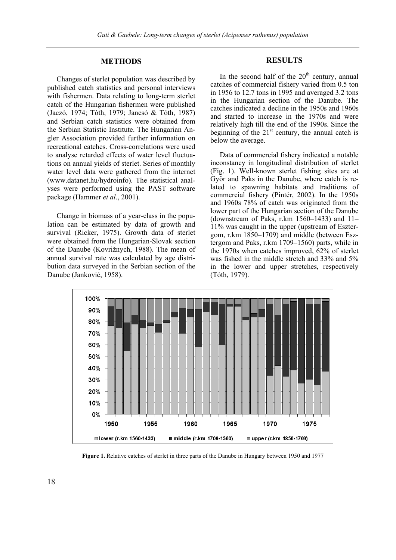### **METHODS**

Changes of sterlet population was described by published catch statistics and personal interviews with fishermen. Data relating to long-term sterlet catch of the Hungarian fishermen were published (Jaczó, 1974; Tóth, 1979; Jancsó & Tóth, 1987) and Serbian catch statistics were obtained from the Serbian Statistic Institute. The Hungarian Angler Association provided further information on recreational catches. Cross-correlations were used to analyse retarded effects of water level fluctuations on annual yields of sterlet. Series of monthly water level data were gathered from the internet (www.datanet.hu/hydroinfo). The statistical analyses were performed using the PAST software package (Hammer *et al*., 2001).

Change in biomass of a year-class in the population can be estimated by data of growth and survival (Ricker, 1975). Growth data of sterlet were obtained from the Hungarian-Slovak section of the Danube (Kovrižnych, 1988). The mean of annual survival rate was calculated by age distribution data surveyed in the Serbian section of the Danube (Janković, 1958).

# **RESULTS**

In the second half of the  $20<sup>th</sup>$  century, annual catches of commercial fishery varied from 0.5 ton in 1956 to 12.7 tons in 1995 and averaged 3.2 tons in the Hungarian section of the Danube. The catches indicated a decline in the 1950s and 1960s and started to increase in the 1970s and were relatively high till the end of the 1990s. Since the beginning of the  $21<sup>st</sup>$  century, the annual catch is below the average.

Data of commercial fishery indicated a notable inconstancy in longitudinal distribution of sterlet (Fig. 1). Well-known sterlet fishing sites are at Győr and Paks in the Danube, where catch is related to spawning habitats and traditions of commercial fishery (Pintér, 2002). In the 1950s and 1960s 78% of catch was originated from the lower part of the Hungarian section of the Danube (downstream of Paks, r.km 1560–1433) and 11– 11% was caught in the upper (upstream of Esztergom, r.km 1850–1709) and middle (between Esztergom and Paks, r.km 1709–1560) parts, while in the 1970s when catches improved, 62% of sterlet was fished in the middle stretch and 33% and 5% in the lower and upper stretches, respectively (Tóth, 1979).



**Figure 1.** Relative catches of sterlet in three parts of the Danube in Hungary between 1950 and 1977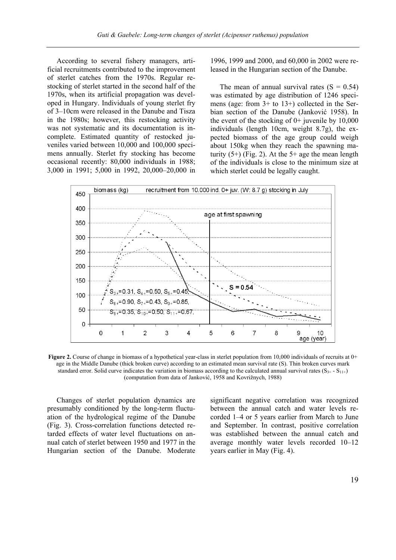According to several fishery managers, artificial recruitments contributed to the improvement of sterlet catches from the 1970s. Regular restocking of sterlet started in the second half of the 1970s, when its artificial propagation was developed in Hungary. Individuals of young sterlet fry of 3–10cm were released in the Danube and Tisza in the 1980s; however, this restocking activity was not systematic and its documentation is incomplete. Estimated quantity of restocked juveniles varied between 10,000 and 100,000 specimens annually. Sterlet fry stocking has become occasional recently: 80,000 individuals in 1988; 3,000 in 1991; 5,000 in 1992, 20,000–20,000 in

1996, 1999 and 2000, and 60,000 in 2002 were released in the Hungarian section of the Danube.

The mean of annual survival rates  $(S = 0.54)$ was estimated by age distribution of 1246 specimens (age: from 3+ to 13+) collected in the Serbian section of the Danube (Janković 1958). In the event of the stocking of  $0+$  juvenile by 10,000 individuals (length 10cm, weight 8.7g), the expected biomass of the age group could weigh about 150kg when they reach the spawning maturity  $(5+)$  (Fig. 2). At the  $5+$  age the mean length of the individuals is close to the minimum size at which sterlet could be legally caught.



**Figure 2.** Course of change in biomass of a hypothetical year-class in sterlet population from 10,000 individuals of recruits at 0+ age in the Middle Danube (thick broken curve) according to an estimated mean survival rate (S). Thin broken curves mark standard error. Solid curve indicates the variation in biomass according to the calculated annual survival rates ( $S_{3+}$  -  $S_{11+}$ ) (computation from data of Janković, 1958 and Kovrižnych, 1988)

Changes of sterlet population dynamics are presumably conditioned by the long-term fluctuation of the hydrological regime of the Danube (Fig. 3). Cross-correlation functions detected retarded effects of water level fluctuations on annual catch of sterlet between 1950 and 1977 in the Hungarian section of the Danube. Moderate significant negative correlation was recognized between the annual catch and water levels recorded 1–4 or 5 years earlier from March to June and September. In contrast, positive correlation was established between the annual catch and average monthly water levels recorded 10–12 years earlier in May (Fig. 4).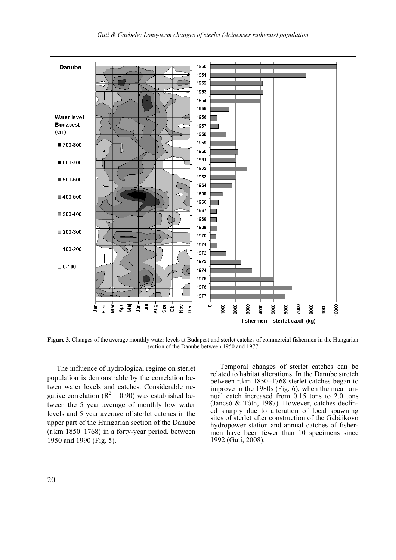

**Figure 3**. Changes of the average monthly water levels at Budapest and sterlet catches of commercial fishermen in the Hungarian section of the Danube between 1950 and 1977

The influence of hydrological regime on sterlet population is demonstrable by the correlation betwen water levels and catches. Considerable negative correlation ( $R^2 = 0.90$ ) was established between the 5 year average of monthly low water levels and 5 year average of sterlet catches in the upper part of the Hungarian section of the Danube (r.km 1850–1768) in a forty-year period, between 1950 and 1990 (Fig. 5).

Temporal changes of sterlet catches can be related to habitat alterations. In the Danube stretch between r.km 1850–1768 sterlet catches began to improve in the 1980s (Fig. 6), when the mean annual catch increased from 0.15 tons to 2.0 tons (Jancsó & Tóth, 1987). However, catches declined sharply due to alteration of local spawning sites of sterlet after construction of the Gabčikovo hydropower station and annual catches of fishermen have been fewer than 10 specimens since 1992 (Guti, 2008).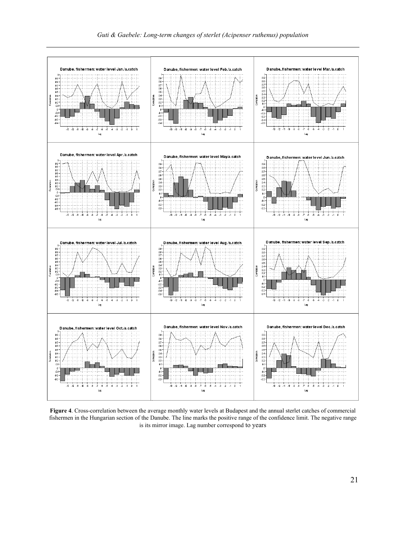

**Figure 4**. Cross-correlation between the average monthly water levels at Budapest and the annual sterlet catches of commercial fishermen in the Hungarian section of the Danube. The line marks the positive range of the confidence limit. The negative range is its mirror image. Lag number correspond to years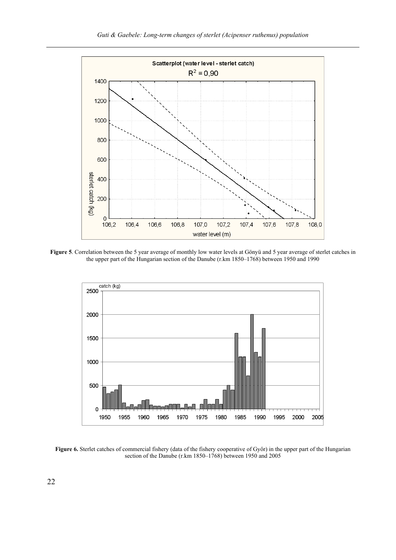

**Figure 5**. Correlation between the 5 year average of monthly low water levels at Gönyü and 5 year average of sterlet catches in the upper part of the Hungarian section of the Danube (r.km 1850–1768) between 1950 and 1990



**Figure 6.** Sterlet catches of commercial fishery (data of the fishery cooperative of Győr) in the upper part of the Hungarian section of the Danube (r.km 1850–1768) between 1950 and 2005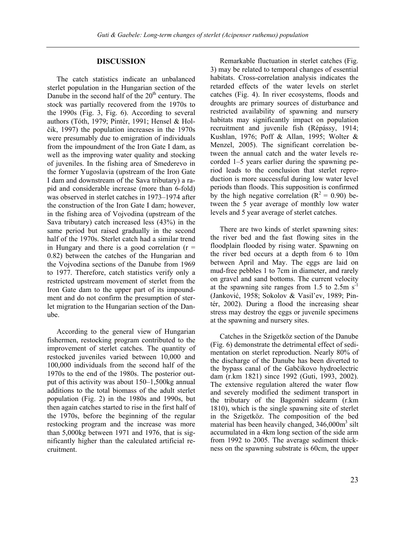# **DISCUSSION**

The catch statistics indicate an unbalanced sterlet population in the Hungarian section of the Danube in the second half of the  $20<sup>th</sup>$  century. The stock was partially recovered from the 1970s to the 1990s (Fig. 3, Fig. 6). According to several authors (Tóth, 1979; Pintér, 1991; Hensel & Holčik, 1997) the population increases in the 1970s were presumably due to emigration of individuals from the impoundment of the Iron Gate I dam, as well as the improving water quality and stocking of juveniles. In the fishing area of Smederevo in the former Yugoslavia (upstream of the Iron Gate I dam and downstream of the Sava tributary) a rapid and considerable increase (more than 6-fold) was observed in sterlet catches in 1973–1974 after the construction of the Iron Gate I dam; however, in the fishing area of Vojvodina (upstream of the Sava tributary) catch increased less (43%) in the same period but raised gradually in the second half of the 1970s. Sterlet catch had a similar trend in Hungary and there is a good correlation  $(r =$ 0.82) between the catches of the Hungarian and the Vojvodina sections of the Danube from 1969 to 1977. Therefore, catch statistics verify only a restricted upstream movement of sterlet from the Iron Gate dam to the upper part of its impoundment and do not confirm the presumption of sterlet migration to the Hungarian section of the Danube.

According to the general view of Hungarian fishermen, restocking program contributed to the improvement of sterlet catches. The quantity of restocked juveniles varied between 10,000 and 100,000 individuals from the second half of the 1970s to the end of the 1980s. The posterior output of this activity was about 150–1,500kg annual additions to the total biomass of the adult sterlet population (Fig. 2) in the 1980s and 1990s, but then again catches started to rise in the first half of the 1970s, before the beginning of the regular restocking program and the increase was more than 5,000kg between 1971 and 1976, that is significantly higher than the calculated artificial recruitment.

Remarkable fluctuation in sterlet catches (Fig. 3) may be related to temporal changes of essential habitats. Cross-correlation analysis indicates the retarded effects of the water levels on sterlet catches (Fig. 4). In river ecosystems, floods and droughts are primary sources of disturbance and restricted availability of spawning and nursery habitats may significantly impact on population recruitment and juvenile fish (Répássy, 1914; Kushlan, 1976; Poff & Allan, 1995; Wolter & Menzel, 2005). The significant correlation between the annual catch and the water levels recorded 1–5 years earlier during the spawning period leads to the conclusion that sterlet reproduction is more successful during low water level periods than floods. This supposition is confirmed by the high negative correlation ( $R^2 = 0.90$ ) between the 5 year average of monthly low water levels and 5 year average of sterlet catches.

There are two kinds of sterlet spawning sites: the river bed and the fast flowing sites in the floodplain flooded by rising water. Spawning on the river bed occurs at a depth from 6 to 10m between April and May. The eggs are laid on mud-free pebbles 1 to 7cm in diameter, and rarely on gravel and sand bottoms. The current velocity at the spawning site ranges from 1.5 to 2.5m  $s^{-1}$ (Janković, 1958; Sokolov & Vasil'ev, 1989; Pintér, 2002). During a flood the increasing shear stress may destroy the eggs or juvenile specimens at the spawning and nursery sites.

Catches in the Szigetköz section of the Danube (Fig. 6) demonstrate the detrimental effect of sedimentation on sterlet reproduction. Nearly 80% of the discharge of the Danube has been diverted to the bypass canal of the Gabčikovo hydroelectric dam (r.km 1821) since 1992 (Guti, 1993, 2002). The extensive regulation altered the water flow and severely modified the sediment transport in the tributary of the Bagoméri sidearm (r.km 1810), which is the single spawning site of sterlet in the Szigetköz. The composition of the bed material has been heavily changed,  $346,000m^3$  silt accumulated in a 4km long section of the side arm from 1992 to 2005. The average sediment thickness on the spawning substrate is 60cm, the upper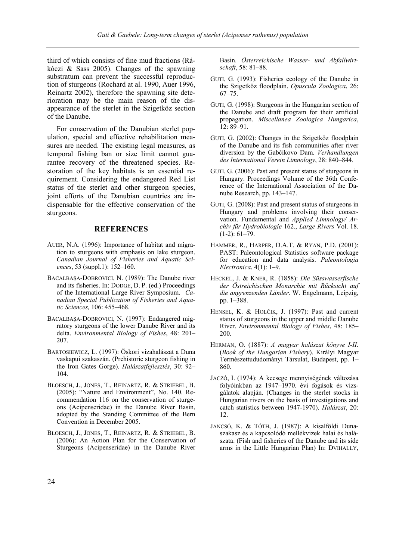third of which consists of fine mud fractions (Rákóczi & Sass 2005). Changes of the spawning substratum can prevent the successful reproduction of sturgeons (Rochard at al. 1990, Auer 1996, Reinartz 2002), therefore the spawning site deterioration may be the main reason of the disappearance of the sterlet in the Szigetköz section of the Danube.

For conservation of the Danubian sterlet population, special and effective rehabilitation measures are needed. The existing legal measures, as temporal fishing ban or size limit cannot guarantee recovery of the threatened species. Restoration of the key habitats is an essential requirement. Considering the endangered Red List status of the sterlet and other sturgeon species, joint efforts of the Danubian countries are indispensable for the effective conservation of the sturgeons.

# **REFERENCES**

- AUER, N.A. (1996): Importance of habitat and migration to sturgeons with emphasis on lake sturgeon. *Canadian Journal of Fisheries and Aquatic Sciences*, 53 (suppl.1): 152–160.
- BACALBAŞA-DOBROVICI, N. (1989): The Danube river and its fisheries. In: DODGE, D. P. (ed.) Proceedings of the International Large River Symposium. *Canadian Special Publication of Fisheries and Aquatic Sciences,* 106: 455–468.
- BACALBAŞA-DOBROVICI, N. (1997): Endangered migratory sturgeons of the lower Danube River and its delta. *Environmental Biology of Fishes*, 48: 201– 207.
- BARTOSIEWICZ, L. (1997): Őskori vizahalászat a Duna vaskapui szakaszán. (Prehistoric sturgeon fishing in the Iron Gates Gorge). *Halászatfejlesztés*, 30: 92– 104.
- BLOESCH, J., JONES, T., REINARTZ, R. & STRIEBEL, B. (2005): "Nature and Environment", No. 140. Recommendation 116 on the conservation of sturgeons (Acipenseridae) in the Danube River Basin, adopted by the Standing Committee of the Bern Convention in December 2005.
- BLOESCH, J., JONES, T., REINARTZ, R. & STRIEBEL, B. (2006): An Action Plan for the Conservation of Sturgeons (Acipenseridae) in the Danube River

Basin. *Österreichische Wasser- und Abfallwirtschaft*, 58: 81–88.

- GUTI, G. (1993): Fisheries ecology of the Danube in the Szigetköz floodplain. *Opuscula Zoologica*, 26: 67–75.
- GUTI, G. (1998): Sturgeons in the Hungarian section of the Danube and draft program for their artificial propagation. *Miscellanea Zoologica Hungarica*, 12: 89–91.
- GUTI, G. (2002): Changes in the Szigetköz floodplain of the Danube and its fish communities after river diversion by the Gabčikovo Dam. *Verhandlungen des International Verein Limnology*, 28: 840–844.
- GUTI, G. (2006): Past and present status of sturgeons in Hungary. Proceedings Volume of the 36th Conference of the International Association of the Danube Research, pp. 143–147.
- GUTI, G. (2008): Past and present status of sturgeons in Hungary and problems involving their conservation. Fundamental and *Applied Limnology/ Archiv für Hydrobiologie* 162., *Large Rivers* Vol. 18. (1-2): 61–79.
- HAMMER, R., HARPER, D.A.T. & RYAN, P.D. (2001): PAST: Paleontological Statistics software package for education and data analysis. *Paleontologia Electronica*, 4(1): 1–9.
- HECKEL, J. & KNER, R. (1858): *Die Süsswasserfische der Östreichischen Monarchie mit Rücksicht auf die angrenzenden Länder*. W. Engelmann, Leipzig, pp. 1–388.
- HENSEL, K. & HOLČIK, J. (1997): Past and current status of sturgeons in the upper and middle Danube River. *Environmental Biology of Fishes*, 48: 185– 200.
- HERMAN, O. (1887): *A magyar halászat könyve I-II*. (*Book of the Hungarian Fishery*). Királyi Magyar Természettududományi Társulat, Budapest, pp. 1– 860.
- JACZÓ, I. (1974): A kecsege mennyiségének változása folyóinkban az 1947–1970. évi fogások és vizsgálatok alapján. (Changes in the sterlet stocks in Hungarian rivers on the basis of investigations and catch statistics between 1947-1970). *Halászat*, 20: 12.
- JANCSÓ, K. & TÓTH, J. (1987): A kisalföldi Dunaszakasz és a kapcsolódó mellékvizek halai és halászata. (Fish and fisheries of the Danube and its side arms in the Little Hungarian Plan) In: DVIHALLY,